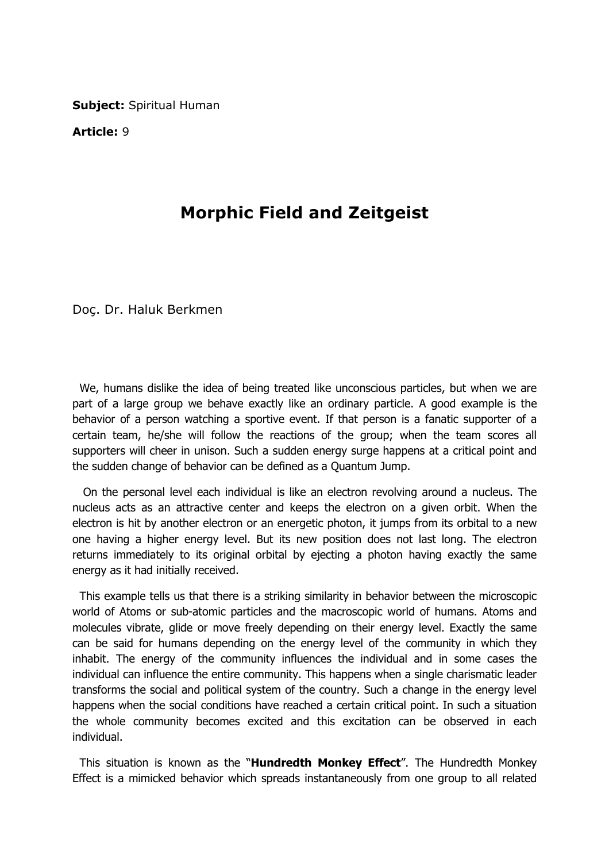Subject: Spiritual Human

Article: 9

## Morphic Field and Zeitgeist

Doç. Dr. Haluk Berkmen

 We, humans dislike the idea of being treated like unconscious particles, but when we are part of a large group we behave exactly like an ordinary particle. A good example is the behavior of a person watching a sportive event. If that person is a fanatic supporter of a certain team, he/she will follow the reactions of the group; when the team scores all supporters will cheer in unison. Such a sudden energy surge happens at a critical point and the sudden change of behavior can be defined as a Quantum Jump.

 On the personal level each individual is like an electron revolving around a nucleus. The nucleus acts as an attractive center and keeps the electron on a given orbit. When the electron is hit by another electron or an energetic photon, it jumps from its orbital to a new one having a higher energy level. But its new position does not last long. The electron returns immediately to its original orbital by ejecting a photon having exactly the same energy as it had initially received.

 This example tells us that there is a striking similarity in behavior between the microscopic world of Atoms or sub-atomic particles and the macroscopic world of humans. Atoms and molecules vibrate, glide or move freely depending on their energy level. Exactly the same can be said for humans depending on the energy level of the community in which they inhabit. The energy of the community influences the individual and in some cases the individual can influence the entire community. This happens when a single charismatic leader transforms the social and political system of the country. Such a change in the energy level happens when the social conditions have reached a certain critical point. In such a situation the whole community becomes excited and this excitation can be observed in each individual.

This situation is known as the "**Hundredth Monkey Effect**". The Hundredth Monkey Effect is a mimicked behavior which spreads instantaneously from one group to all related